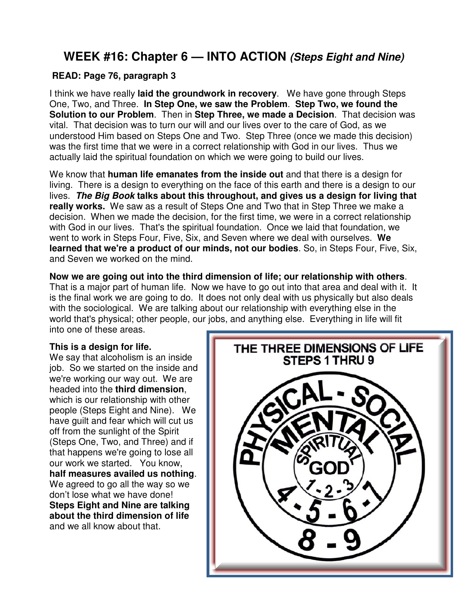# **WEEK #16: Chapter 6 — INTO ACTION (Steps Eight and Nine)**

#### **READ: Page 76, paragraph 3**

I think we have really **laid the groundwork in recovery**. We have gone through Steps One, Two, and Three. **In Step One, we saw the Problem**. **Step Two, we found the Solution to our Problem**. Then in **Step Three, we made a Decision**. That decision was vital. That decision was to turn our will and our lives over to the care of God, as we understood Him based on Steps One and Two. Step Three (once we made this decision) was the first time that we were in a correct relationship with God in our lives. Thus we actually laid the spiritual foundation on which we were going to build our lives.

We know that **human life emanates from the inside out** and that there is a design for living. There is a design to everything on the face of this earth and there is a design to our lives. **The Big Book talks about this throughout, and gives us a design for living that really works.** We saw as a result of Steps One and Two that in Step Three we make a decision. When we made the decision, for the first time, we were in a correct relationship with God in our lives. That's the spiritual foundation. Once we laid that foundation, we went to work in Steps Four, Five, Six, and Seven where we deal with ourselves. **We learned that we're a product of our minds, not our bodies**. So, in Steps Four, Five, Six, and Seven we worked on the mind.

**Now we are going out into the third dimension of life; our relationship with others**. That is a major part of human life. Now we have to go out into that area and deal with it. It is the final work we are going to do. It does not only deal with us physically but also deals with the sociological. We are talking about our relationship with everything else in the world that's physical; other people, our jobs, and anything else. Everything in life will fit into one of these areas.

#### **This is a design for life.**

We say that alcoholism is an inside job. So we started on the inside and we're working our way out. We are headed into the **third dimension**, which is our relationship with other people (Steps Eight and Nine). We have guilt and fear which will cut us off from the sunlight of the Spirit (Steps One, Two, and Three) and if that happens we're going to lose all our work we started. You know, **half measures availed us nothing**. We agreed to go all the way so we don't lose what we have done! **Steps Eight and Nine are talking about the third dimension of life** and we all know about that.

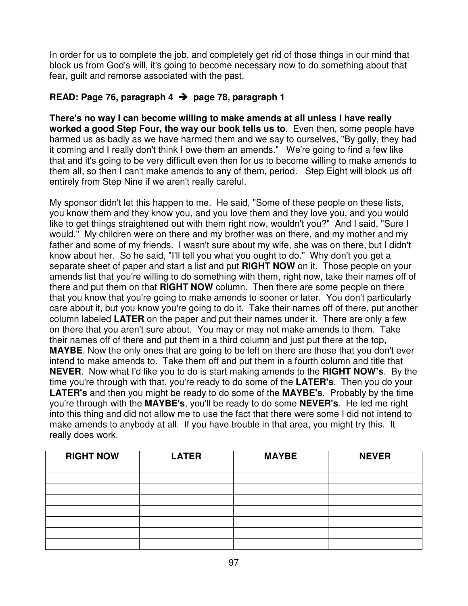In order for us to complete the job, and completely get rid of those things in our mind that block us from God's will, it's going to become necessary now to do something about that fear, guilt and remorse associated with the past.

### **READ: Page 76, paragraph 4 page 78, paragraph 1**

**There's no way I can become willing to make amends at all unless I have really worked a good Step Four, the way our book tells us to**. Even then, some people have harmed us as badly as we have harmed them and we say to ourselves, "By golly, they had it coming and I really don't think I owe them an amends." We're going to find a few like that and it's going to be very difficult even then for us to become willing to make amends to them all, so then I can't make amends to any of them, period. Step Eight will block us off entirely from Step Nine if we aren't really careful.

My sponsor didn't let this happen to me. He said, "Some of these people on these lists, you know them and they know you, and you love them and they love you, and you would like to get things straightened out with them right now, wouldn't you?" And I said, "Sure I would." My children were on there and my brother was on there, and my mother and my father and some of my friends. I wasn't sure about my wife, she was on there, but I didn't know about her. So he said, "I'll tell you what you ought to do." Why don't you get a separate sheet of paper and start a list and put **RIGHT NOW** on it. Those people on your amends list that you're willing to do something with them, right now, take their names off of there and put them on that **RIGHT NOW** column. Then there are some people on there that you know that you're going to make amends to sooner or later. You don't particularly care about it, but you know you're going to do it. Take their names off of there, put another column labeled **LATER** on the paper and put their names under it. There are only a few on there that you aren't sure about. You may or may not make amends to them. Take their names off of there and put them in a third column and just put there at the top, **MAYBE**. Now the only ones that are going to be left on there are those that you don't ever intend to make amends to. Take them off and put them in a fourth column and title that **NEVER**. Now what I'd like you to do is start making amends to the **RIGHT NOW's**. By the time you're through with that, you're ready to do some of the **LATER's**. Then you do your **LATER's** and then you might be ready to do some of the **MAYBE's**. Probably by the time you're through with the **MAYBE's**, you'll be ready to do some **NEVER's**. He led me right into this thing and did not allow me to use the fact that there were some I did not intend to make amends to anybody at all. If you have trouble in that area, you might try this. It really does work.

| <b>RIGHT NOW</b> | <b>LATER</b> | <b>MAYBE</b> | <b>NEVER</b> |
|------------------|--------------|--------------|--------------|
|                  |              |              |              |
|                  |              |              |              |
|                  |              |              |              |
|                  |              |              |              |
|                  |              |              |              |
|                  |              |              |              |
|                  |              |              |              |
|                  |              |              |              |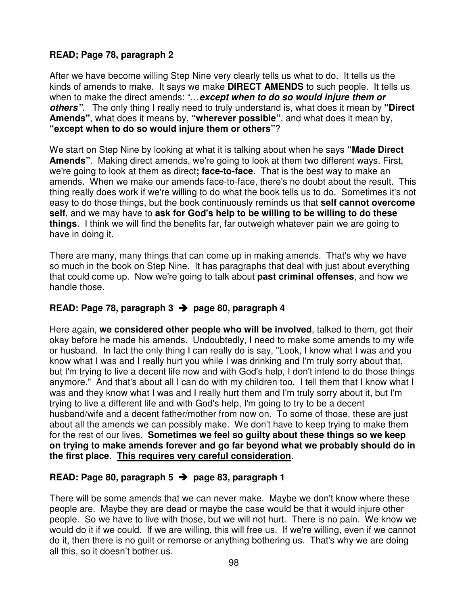#### **READ; Page 78, paragraph 2**

After we have become willing Step Nine very clearly tells us what to do. It tells us the kinds of amends to make. It says we make **DIRECT AMENDS** to such people. It tells us when to make the direct amends: "…**except when to do so would injure them or others"**. The only thing I really need to truly understand is, what does it mean by **"Direct Amends"**, what does it means by, **"wherever possible"**, and what does it mean by, **"except when to do so would injure them or others"**?

We start on Step Nine by looking at what it is talking about when he says **"Made Direct Amends"**. Making direct amends, we're going to look at them two different ways. First, we're going to look at them as direct**; face-to-face**. That is the best way to make an amends. When we make our amends face-to-face, there's no doubt about the result. This thing really does work if we're willing to do what the book tells us to do. Sometimes it's not easy to do those things, but the book continuously reminds us that **self cannot overcome self**, and we may have to **ask for God's help to be willing to be willing to do these things**. I think we will find the benefits far, far outweigh whatever pain we are going to have in doing it.

There are many, many things that can come up in making amends. That's why we have so much in the book on Step Nine. It has paragraphs that deal with just about everything that could come up. Now we're going to talk about **past criminal offenses**, and how we handle those.

#### **READ: Page 78, paragraph 3 page 80, paragraph 4**

Here again, **we considered other people who will be involved**, talked to them, got their okay before he made his amends. Undoubtedly, I need to make some amends to my wife or husband. In fact the only thing I can really do is say, "Look, I know what I was and you know what I was and I really hurt you while I was drinking and I'm truly sorry about that, but I'm trying to live a decent life now and with God's help, I don't intend to do those things anymore." And that's about all I can do with my children too. I tell them that I know what I was and they know what I was and I really hurt them and I'm truly sorry about it, but I'm trying to live a different life and with God's help, I'm going to try to be a decent husband/wife and a decent father/mother from now on. To some of those, these are just about all the amends we can possibly make. We don't have to keep trying to make them for the rest of our lives. **Sometimes we feel so guilty about these things so we keep on trying to make amends forever and go far beyond what we probably should do in the first place**. **This requires very careful consideration**.

#### **READ: Page 80, paragraph 5 page 83, paragraph 1**

There will be some amends that we can never make. Maybe we don't know where these people are. Maybe they are dead or maybe the case would be that it would injure other people. So we have to live with those, but we will not hurt. There is no pain. We know we would do it if we could. If we are willing, this will free us. If we're willing, even if we cannot do it, then there is no guilt or remorse or anything bothering us. That's why we are doing all this, so it doesn't bother us.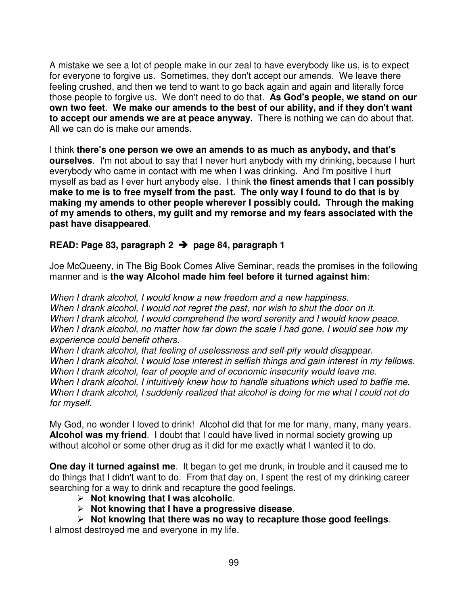A mistake we see a lot of people make in our zeal to have everybody like us, is to expect for everyone to forgive us. Sometimes, they don't accept our amends. We leave there feeling crushed, and then we tend to want to go back again and again and literally force those people to forgive us. We don't need to do that. **As God's people, we stand on our own two feet**. **We make our amends to the best of our ability, and if they don't want to accept our amends we are at peace anyway.** There is nothing we can do about that. All we can do is make our amends.

I think **there's one person we owe an amends to as much as anybody, and that's ourselves**. I'm not about to say that I never hurt anybody with my drinking, because I hurt everybody who came in contact with me when I was drinking. And I'm positive I hurt myself as bad as I ever hurt anybody else. I think **the finest amends that I can possibly make to me is to free myself from the past. The only way I found to do that is by making my amends to other people wherever I possibly could. Through the making of my amends to others, my guilt and my remorse and my fears associated with the past have disappeared**.

#### **READ: Page 83, paragraph 2 page 84, paragraph 1**

Joe McQueeny, in The Big Book Comes Alive Seminar, reads the promises in the following manner and is **the way Alcohol made him feel before it turned against him**:

When I drank alcohol, I would know a new freedom and a new happiness. When I drank alcohol, I would not regret the past, nor wish to shut the door on it. When I drank alcohol, I would comprehend the word serenity and I would know peace. When I drank alcohol, no matter how far down the scale I had gone, I would see how my experience could benefit others.

When I drank alcohol, that feeling of uselessness and self-pity would disappear. When I drank alcohol, I would lose interest in selfish things and gain interest in my fellows. When I drank alcohol, fear of people and of economic insecurity would leave me. When I drank alcohol, I intuitively knew how to handle situations which used to baffle me. When I drank alcohol, I suddenly realized that alcohol is doing for me what I could not do for myself.

My God, no wonder I loved to drink! Alcohol did that for me for many, many, many years. **Alcohol was my friend**. I doubt that I could have lived in normal society growing up without alcohol or some other drug as it did for me exactly what I wanted it to do.

**One day it turned against me**. It began to get me drunk, in trouble and it caused me to do things that I didn't want to do. From that day on, I spent the rest of my drinking career searching for a way to drink and recapture the good feelings.

- **Not knowing that I was alcoholic**.
- **Not knowing that I have a progressive disease**.
- **Not knowing that there was no way to recapture those good feelings**.

I almost destroyed me and everyone in my life.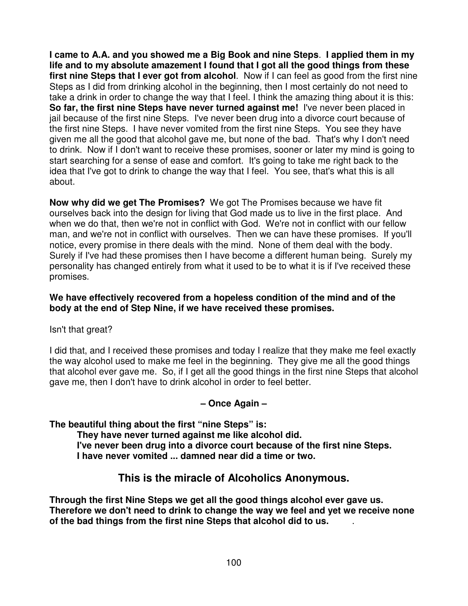**I came to A.A. and you showed me a Big Book and nine Steps**. **I applied them in my life and to my absolute amazement I found that I got all the good things from these first nine Steps that I ever got from alcohol**. Now if I can feel as good from the first nine Steps as I did from drinking alcohol in the beginning, then I most certainly do not need to take a drink in order to change the way that I feel. I think the amazing thing about it is this: **So far, the first nine Steps have never turned against me!** I've never been placed in jail because of the first nine Steps. I've never been drug into a divorce court because of the first nine Steps. I have never vomited from the first nine Steps. You see they have given me all the good that alcohol gave me, but none of the bad. That's why I don't need to drink. Now if I don't want to receive these promises, sooner or later my mind is going to start searching for a sense of ease and comfort. It's going to take me right back to the idea that I've got to drink to change the way that I feel. You see, that's what this is all about.

**Now why did we get The Promises?** We got The Promises because we have fit ourselves back into the design for living that God made us to live in the first place. And when we do that, then we're not in conflict with God. We're not in conflict with our fellow man, and we're not in conflict with ourselves. Then we can have these promises. If you'll notice, every promise in there deals with the mind. None of them deal with the body. Surely if I've had these promises then I have become a different human being. Surely my personality has changed entirely from what it used to be to what it is if I've received these promises.

#### **We have effectively recovered from a hopeless condition of the mind and of the body at the end of Step Nine, if we have received these promises.**

Isn't that great?

I did that, and I received these promises and today I realize that they make me feel exactly the way alcohol used to make me feel in the beginning. They give me all the good things that alcohol ever gave me. So, if I get all the good things in the first nine Steps that alcohol gave me, then I don't have to drink alcohol in order to feel better.

#### **– Once Again –**

**The beautiful thing about the first "nine Steps" is:** 

**They have never turned against me like alcohol did. I've never been drug into a divorce court because of the first nine Steps. I have never vomited ... damned near did a time or two.** 

# **This is the miracle of Alcoholics Anonymous.**

**Through the first Nine Steps we get all the good things alcohol ever gave us. Therefore we don't need to drink to change the way we feel and yet we receive none of the bad things from the first nine Steps that alcohol did to us.** .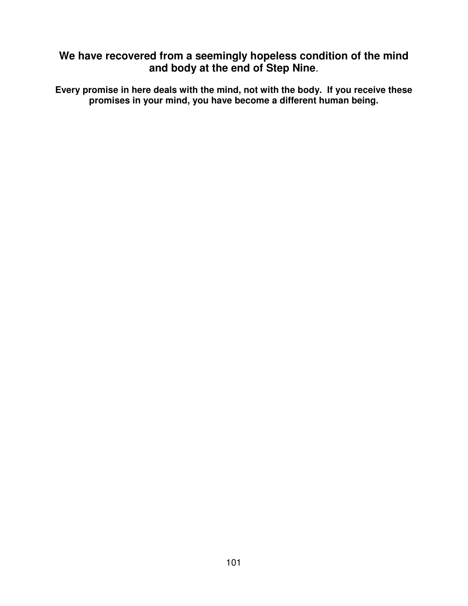# **We have recovered from a seemingly hopeless condition of the mind and body at the end of Step Nine**.

**Every promise in here deals with the mind, not with the body. If you receive these promises in your mind, you have become a different human being.**